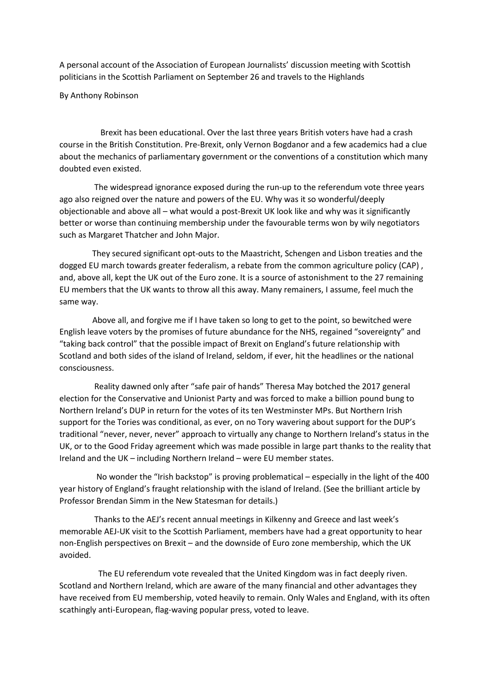A personal account of the Association of European Journalists' discussion meeting with Scottish politicians in the Scottish Parliament on September 26 and travels to the Highlands

By Anthony Robinson

 Brexit has been educational. Over the last three years British voters have had a crash course in the British Constitution. Pre-Brexit, only Vernon Bogdanor and a few academics had a clue about the mechanics of parliamentary government or the conventions of a constitution which many doubted even existed.

 The widespread ignorance exposed during the run-up to the referendum vote three years ago also reigned over the nature and powers of the EU. Why was it so wonderful/deeply objectionable and above all – what would a post-Brexit UK look like and why was it significantly better or worse than continuing membership under the favourable terms won by wily negotiators such as Margaret Thatcher and John Major.

 They secured significant opt-outs to the Maastricht, Schengen and Lisbon treaties and the dogged EU march towards greater federalism, a rebate from the common agriculture policy (CAP) , and, above all, kept the UK out of the Euro zone. It is a source of astonishment to the 27 remaining EU members that the UK wants to throw all this away. Many remainers, I assume, feel much the same way.

 Above all, and forgive me if I have taken so long to get to the point, so bewitched were English leave voters by the promises of future abundance for the NHS, regained "sovereignty" and "taking back control" that the possible impact of Brexit on England's future relationship with Scotland and both sides of the island of Ireland, seldom, if ever, hit the headlines or the national consciousness.

 Reality dawned only after "safe pair of hands" Theresa May botched the 2017 general election for the Conservative and Unionist Party and was forced to make a billion pound bung to Northern Ireland's DUP in return for the votes of its ten Westminster MPs. But Northern Irish support for the Tories was conditional, as ever, on no Tory wavering about support for the DUP's traditional "never, never, never" approach to virtually any change to Northern Ireland's status in the UK, or to the Good Friday agreement which was made possible in large part thanks to the reality that Ireland and the UK – including Northern Ireland – were EU member states.

 No wonder the "Irish backstop" is proving problematical – especially in the light of the 400 year history of England's fraught relationship with the island of Ireland. (See the brilliant article by Professor Brendan Simm in the New Statesman for details.)

 Thanks to the AEJ's recent annual meetings in Kilkenny and Greece and last week's memorable AEJ-UK visit to the Scottish Parliament, members have had a great opportunity to hear non-English perspectives on Brexit – and the downside of Euro zone membership, which the UK avoided.

 The EU referendum vote revealed that the United Kingdom was in fact deeply riven. Scotland and Northern Ireland, which are aware of the many financial and other advantages they have received from EU membership, voted heavily to remain. Only Wales and England, with its often scathingly anti-European, flag-waving popular press, voted to leave.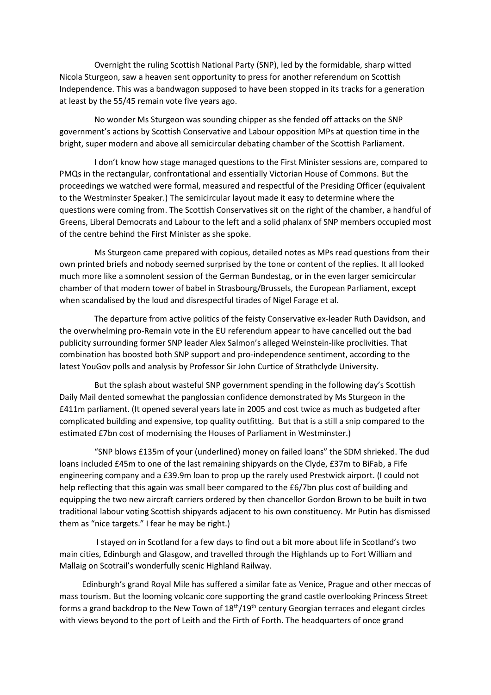Overnight the ruling Scottish National Party (SNP), led by the formidable, sharp witted Nicola Sturgeon, saw a heaven sent opportunity to press for another referendum on Scottish Independence. This was a bandwagon supposed to have been stopped in its tracks for a generation at least by the 55/45 remain vote five years ago.

 No wonder Ms Sturgeon was sounding chipper as she fended off attacks on the SNP government's actions by Scottish Conservative and Labour opposition MPs at question time in the bright, super modern and above all semicircular debating chamber of the Scottish Parliament.

 I don't know how stage managed questions to the First Minister sessions are, compared to PMQs in the rectangular, confrontational and essentially Victorian House of Commons. But the proceedings we watched were formal, measured and respectful of the Presiding Officer (equivalent to the Westminster Speaker.) The semicircular layout made it easy to determine where the questions were coming from. The Scottish Conservatives sit on the right of the chamber, a handful of Greens, Liberal Democrats and Labour to the left and a solid phalanx of SNP members occupied most of the centre behind the First Minister as she spoke.

 Ms Sturgeon came prepared with copious, detailed notes as MPs read questions from their own printed briefs and nobody seemed surprised by the tone or content of the replies. It all looked much more like a somnolent session of the German Bundestag, or in the even larger semicircular chamber of that modern tower of babel in Strasbourg/Brussels, the European Parliament, except when scandalised by the loud and disrespectful tirades of Nigel Farage et al.

 The departure from active politics of the feisty Conservative ex-leader Ruth Davidson, and the overwhelming pro-Remain vote in the EU referendum appear to have cancelled out the bad publicity surrounding former SNP leader Alex Salmon's alleged Weinstein-like proclivities. That combination has boosted both SNP support and pro-independence sentiment, according to the latest YouGov polls and analysis by Professor Sir John Curtice of Strathclyde University.

 But the splash about wasteful SNP government spending in the following day's Scottish Daily Mail dented somewhat the panglossian confidence demonstrated by Ms Sturgeon in the £411m parliament. (It opened several years late in 2005 and cost twice as much as budgeted after complicated building and expensive, top quality outfitting. But that is a still a snip compared to the estimated £7bn cost of modernising the Houses of Parliament in Westminster.)

 "SNP blows £135m of your (underlined) money on failed loans" the SDM shrieked. The dud loans included £45m to one of the last remaining shipyards on the Clyde, £37m to BiFab, a Fife engineering company and a £39.9m loan to prop up the rarely used Prestwick airport. (I could not help reflecting that this again was small beer compared to the £6/7bn plus cost of building and equipping the two new aircraft carriers ordered by then chancellor Gordon Brown to be built in two traditional labour voting Scottish shipyards adjacent to his own constituency. Mr Putin has dismissed them as "nice targets." I fear he may be right.)

 I stayed on in Scotland for a few days to find out a bit more about life in Scotland's two main cities, Edinburgh and Glasgow, and travelled through the Highlands up to Fort William and Mallaig on Scotrail's wonderfully scenic Highland Railway.

 Edinburgh's grand Royal Mile has suffered a similar fate as Venice, Prague and other meccas of mass tourism. But the looming volcanic core supporting the grand castle overlooking Princess Street forms a grand backdrop to the New Town of  $18<sup>th</sup>/19<sup>th</sup>$  century Georgian terraces and elegant circles with views beyond to the port of Leith and the Firth of Forth. The headquarters of once grand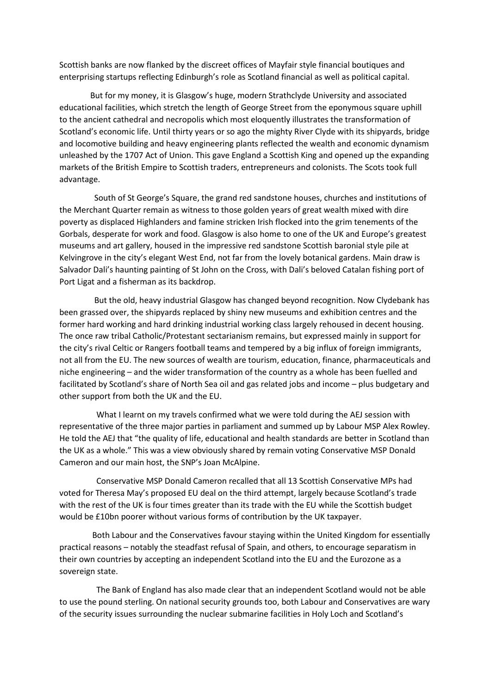Scottish banks are now flanked by the discreet offices of Mayfair style financial boutiques and enterprising startups reflecting Edinburgh's role as Scotland financial as well as political capital.

 But for my money, it is Glasgow's huge, modern Strathclyde University and associated educational facilities, which stretch the length of George Street from the eponymous square uphill to the ancient cathedral and necropolis which most eloquently illustrates the transformation of Scotland's economic life. Until thirty years or so ago the mighty River Clyde with its shipyards, bridge and locomotive building and heavy engineering plants reflected the wealth and economic dynamism unleashed by the 1707 Act of Union. This gave England a Scottish King and opened up the expanding markets of the British Empire to Scottish traders, entrepreneurs and colonists. The Scots took full advantage.

 South of St George's Square, the grand red sandstone houses, churches and institutions of the Merchant Quarter remain as witness to those golden years of great wealth mixed with dire poverty as displaced Highlanders and famine stricken Irish flocked into the grim tenements of the Gorbals, desperate for work and food. Glasgow is also home to one of the UK and Europe's greatest museums and art gallery, housed in the impressive red sandstone Scottish baronial style pile at Kelvingrove in the city's elegant West End, not far from the lovely botanical gardens. Main draw is Salvador Dali's haunting painting of St John on the Cross, with Dali's beloved Catalan fishing port of Port Ligat and a fisherman as its backdrop.

 But the old, heavy industrial Glasgow has changed beyond recognition. Now Clydebank has been grassed over, the shipyards replaced by shiny new museums and exhibition centres and the former hard working and hard drinking industrial working class largely rehoused in decent housing. The once raw tribal Catholic/Protestant sectarianism remains, but expressed mainly in support for the city's rival Celtic or Rangers football teams and tempered by a big influx of foreign immigrants, not all from the EU. The new sources of wealth are tourism, education, finance, pharmaceuticals and niche engineering – and the wider transformation of the country as a whole has been fuelled and facilitated by Scotland's share of North Sea oil and gas related jobs and income – plus budgetary and other support from both the UK and the EU.

 What I learnt on my travels confirmed what we were told during the AEJ session with representative of the three major parties in parliament and summed up by Labour MSP Alex Rowley. He told the AEJ that "the quality of life, educational and health standards are better in Scotland than the UK as a whole." This was a view obviously shared by remain voting Conservative MSP Donald Cameron and our main host, the SNP's Joan McAlpine.

 Conservative MSP Donald Cameron recalled that all 13 Scottish Conservative MPs had voted for Theresa May's proposed EU deal on the third attempt, largely because Scotland's trade with the rest of the UK is four times greater than its trade with the EU while the Scottish budget would be £10bn poorer without various forms of contribution by the UK taxpayer.

 Both Labour and the Conservatives favour staying within the United Kingdom for essentially practical reasons – notably the steadfast refusal of Spain, and others, to encourage separatism in their own countries by accepting an independent Scotland into the EU and the Eurozone as a sovereign state.

 The Bank of England has also made clear that an independent Scotland would not be able to use the pound sterling. On national security grounds too, both Labour and Conservatives are wary of the security issues surrounding the nuclear submarine facilities in Holy Loch and Scotland's